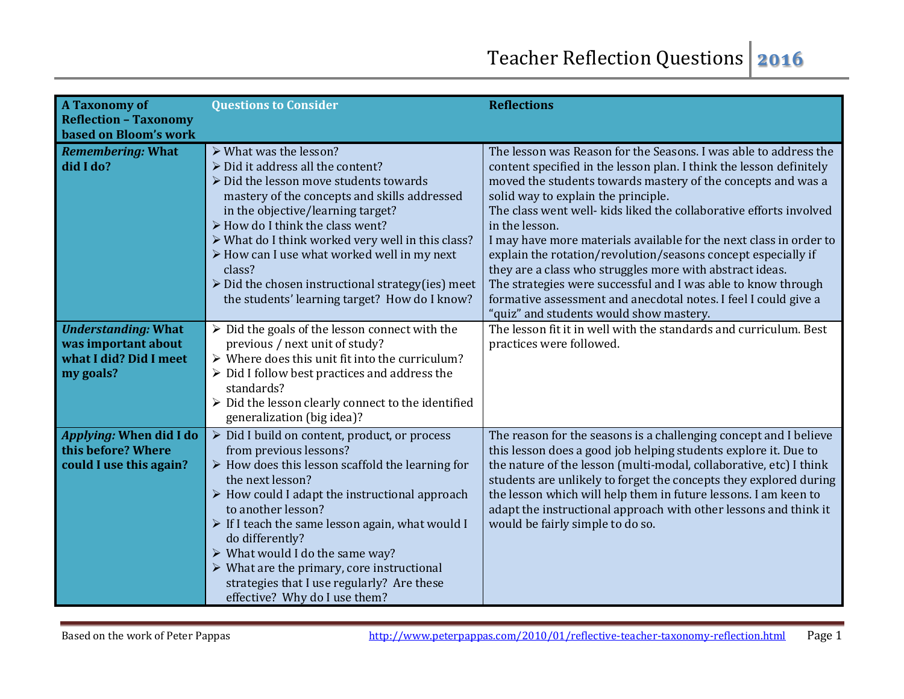| <b>A Taxonomy of</b><br><b>Reflection - Taxonomy</b><br>based on Bloom's work            | <b>Questions to Consider</b>                                                                                                                                                                                                                                                                                                                                                                                                                                                                                | <b>Reflections</b>                                                                                                                                                                                                                                                                                                                                                                                                                                                                                                                                                                                                                                                                                                       |
|------------------------------------------------------------------------------------------|-------------------------------------------------------------------------------------------------------------------------------------------------------------------------------------------------------------------------------------------------------------------------------------------------------------------------------------------------------------------------------------------------------------------------------------------------------------------------------------------------------------|--------------------------------------------------------------------------------------------------------------------------------------------------------------------------------------------------------------------------------------------------------------------------------------------------------------------------------------------------------------------------------------------------------------------------------------------------------------------------------------------------------------------------------------------------------------------------------------------------------------------------------------------------------------------------------------------------------------------------|
| <b>Remembering: What</b><br>did I do?                                                    | > What was the lesson?<br>> Did it address all the content?<br>$\triangleright$ Did the lesson move students towards<br>mastery of the concepts and skills addressed<br>in the objective/learning target?<br>> How do I think the class went?<br>> What do I think worked very well in this class?<br>> How can I use what worked well in my next<br>class?<br>$\triangleright$ Did the chosen instructional strategy(ies) meet<br>the students' learning target? How do I know?                            | The lesson was Reason for the Seasons. I was able to address the<br>content specified in the lesson plan. I think the lesson definitely<br>moved the students towards mastery of the concepts and was a<br>solid way to explain the principle.<br>The class went well- kids liked the collaborative efforts involved<br>in the lesson.<br>I may have more materials available for the next class in order to<br>explain the rotation/revolution/seasons concept especially if<br>they are a class who struggles more with abstract ideas.<br>The strategies were successful and I was able to know through<br>formative assessment and anecdotal notes. I feel I could give a<br>"quiz" and students would show mastery. |
| <b>Understanding: What</b><br>was important about<br>what I did? Did I meet<br>my goals? | $\triangleright$ Did the goals of the lesson connect with the<br>previous / next unit of study?<br>$\triangleright$ Where does this unit fit into the curriculum?<br>$\triangleright$ Did I follow best practices and address the<br>standards?<br>$\triangleright$ Did the lesson clearly connect to the identified<br>generalization (big idea)?                                                                                                                                                          | The lesson fit it in well with the standards and curriculum. Best<br>practices were followed.                                                                                                                                                                                                                                                                                                                                                                                                                                                                                                                                                                                                                            |
| Applying: When did I do<br>this before? Where<br>could I use this again?                 | > Did I build on content, product, or process<br>from previous lessons?<br>$\triangleright$ How does this lesson scaffold the learning for<br>the next lesson?<br>$\triangleright$ How could I adapt the instructional approach<br>to another lesson?<br>> If I teach the same lesson again, what would I<br>do differently?<br>> What would I do the same way?<br>$\triangleright$ What are the primary, core instructional<br>strategies that I use regularly? Are these<br>effective? Why do I use them? | The reason for the seasons is a challenging concept and I believe<br>this lesson does a good job helping students explore it. Due to<br>the nature of the lesson (multi-modal, collaborative, etc) I think<br>students are unlikely to forget the concepts they explored during<br>the lesson which will help them in future lessons. I am keen to<br>adapt the instructional approach with other lessons and think it<br>would be fairly simple to do so.                                                                                                                                                                                                                                                               |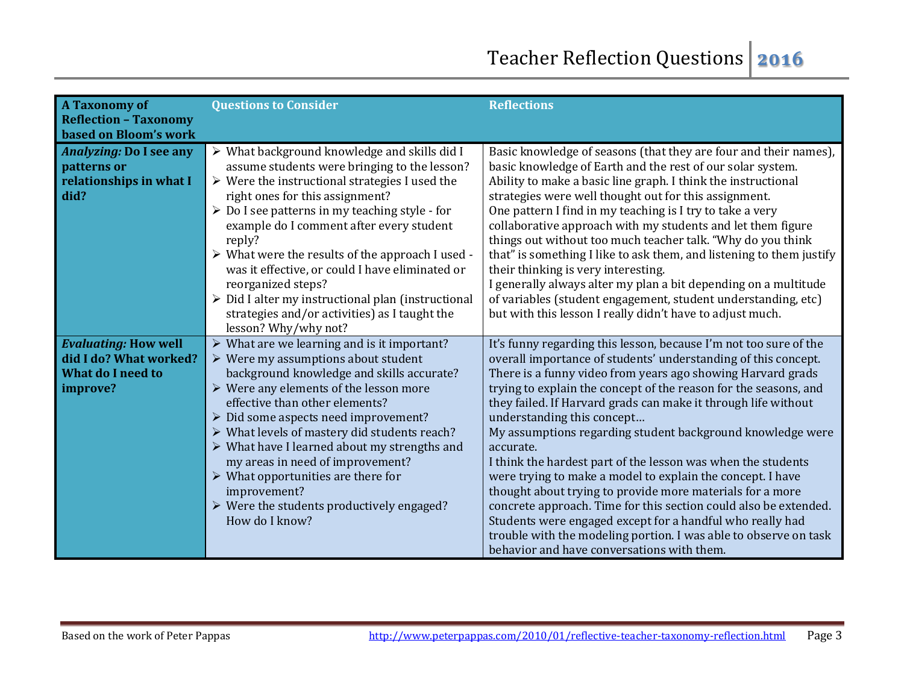| <b>A Taxonomy of</b><br><b>Reflection - Taxonomy</b><br>based on Bloom's work                 | <b>Questions to Consider</b>                                                                                                                                                                                                                                                                                                                                                                                                                                                                                                                                                                           | <b>Reflections</b>                                                                                                                                                                                                                                                                                                                                                                                                                                                                                                                                                                                                                                                                                                                                                                                                                                                                              |
|-----------------------------------------------------------------------------------------------|--------------------------------------------------------------------------------------------------------------------------------------------------------------------------------------------------------------------------------------------------------------------------------------------------------------------------------------------------------------------------------------------------------------------------------------------------------------------------------------------------------------------------------------------------------------------------------------------------------|-------------------------------------------------------------------------------------------------------------------------------------------------------------------------------------------------------------------------------------------------------------------------------------------------------------------------------------------------------------------------------------------------------------------------------------------------------------------------------------------------------------------------------------------------------------------------------------------------------------------------------------------------------------------------------------------------------------------------------------------------------------------------------------------------------------------------------------------------------------------------------------------------|
| <b>Analyzing: Do I see any</b><br>patterns or<br>relationships in what I<br>did?              | $\triangleright$ What background knowledge and skills did I<br>assume students were bringing to the lesson?<br>$\triangleright$ Were the instructional strategies I used the<br>right ones for this assignment?<br>> Do I see patterns in my teaching style - for<br>example do I comment after every student<br>reply?<br>> What were the results of the approach I used -<br>was it effective, or could I have eliminated or<br>reorganized steps?<br>> Did I alter my instructional plan (instructional<br>strategies and/or activities) as I taught the<br>lesson? Why/why not?                    | Basic knowledge of seasons (that they are four and their names),<br>basic knowledge of Earth and the rest of our solar system.<br>Ability to make a basic line graph. I think the instructional<br>strategies were well thought out for this assignment.<br>One pattern I find in my teaching is I try to take a very<br>collaborative approach with my students and let them figure<br>things out without too much teacher talk. "Why do you think<br>that" is something I like to ask them, and listening to them justify<br>their thinking is very interesting.<br>I generally always alter my plan a bit depending on a multitude<br>of variables (student engagement, student understanding, etc)<br>but with this lesson I really didn't have to adjust much.                                                                                                                             |
| <b>Evaluating: How well</b><br>did I do? What worked?<br><b>What do I need to</b><br>improve? | $\triangleright$ What are we learning and is it important?<br>$\triangleright$ Were my assumptions about student<br>background knowledge and skills accurate?<br>$\triangleright$ Were any elements of the lesson more<br>effective than other elements?<br>$\triangleright$ Did some aspects need improvement?<br>> What levels of mastery did students reach?<br>> What have I learned about my strengths and<br>my areas in need of improvement?<br>$\triangleright$ What opportunities are there for<br>improvement?<br>$\triangleright$ Were the students productively engaged?<br>How do I know? | It's funny regarding this lesson, because I'm not too sure of the<br>overall importance of students' understanding of this concept.<br>There is a funny video from years ago showing Harvard grads<br>trying to explain the concept of the reason for the seasons, and<br>they failed. If Harvard grads can make it through life without<br>understanding this concept<br>My assumptions regarding student background knowledge were<br>accurate.<br>I think the hardest part of the lesson was when the students<br>were trying to make a model to explain the concept. I have<br>thought about trying to provide more materials for a more<br>concrete approach. Time for this section could also be extended.<br>Students were engaged except for a handful who really had<br>trouble with the modeling portion. I was able to observe on task<br>behavior and have conversations with them. |